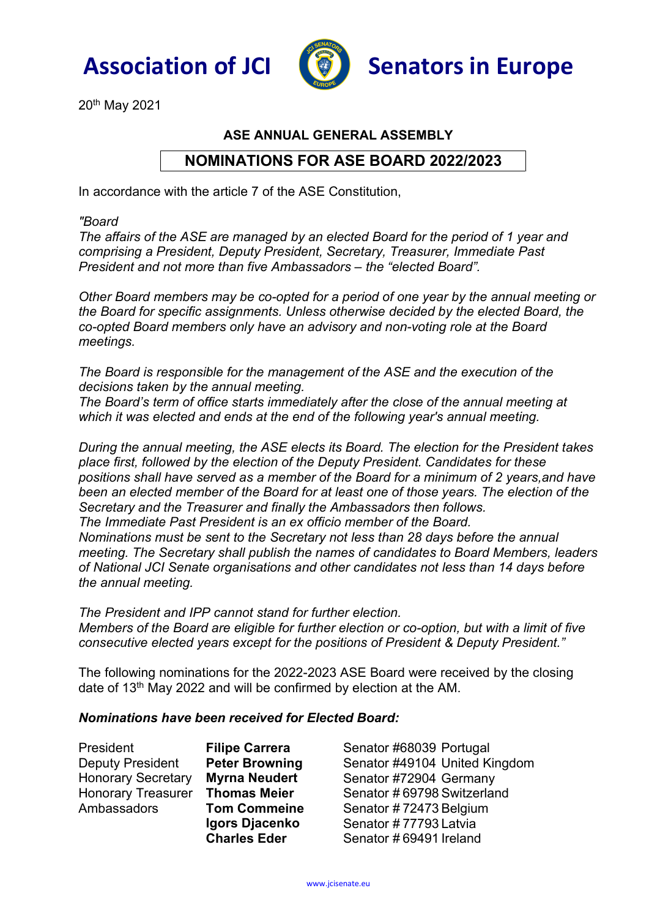



20th May 2021

## ASE ANNUAL GENERAL ASSEMBLY

## NOMINATIONS FOR ASE BOARD 2022/2023

In accordance with the article 7 of the ASE Constitution,

"Board

The affairs of the ASE are managed by an elected Board for the period of 1 year and comprising a President, Deputy President, Secretary, Treasurer, Immediate Past President and not more than five Ambassadors – the "elected Board".

Other Board members may be co-opted for a period of one year by the annual meeting or the Board for specific assignments. Unless otherwise decided by the elected Board, the co-opted Board members only have an advisory and non-voting role at the Board meetings.

The Board is responsible for the management of the ASE and the execution of the decisions taken by the annual meeting.

The Board's term of office starts immediately after the close of the annual meeting at which it was elected and ends at the end of the following year's annual meeting.

During the annual meeting, the ASE elects its Board. The election for the President takes place first, followed by the election of the Deputy President. Candidates for these positions shall have served as a member of the Board for a minimum of 2 years,and have been an elected member of the Board for at least one of those years. The election of the Secretary and the Treasurer and finally the Ambassadors then follows. The Immediate Past President is an ex officio member of the Board. Nominations must be sent to the Secretary not less than 28 days before the annual meeting. The Secretary shall publish the names of candidates to Board Members, leaders of National JCI Senate organisations and other candidates not less than 14 days before the annual meeting.

The President and IPP cannot stand for further election. Members of the Board are eligible for further election or co-option, but with a limit of five consecutive elected years except for the positions of President & Deputy President."

The following nominations for the 2022-2023 ASE Board were received by the closing date of 13th May 2022 and will be confirmed by election at the AM.

## Nominations have been received for Elected Board:

President Filipe Carrera Deputy President Peter Browning Honorary Secretary Myrna Neudert Honorary Treasurer Thomas Meier Ambassadors Tom Commeine

Igors Djacenko Charles Eder

Senator #68039 Portugal Senator #49104 United Kingdom Senator #72904 Germany Senator # 69798 Switzerland Senator # 72473 Belgium Senator # 77793 Latvia Senator # 69491 Ireland